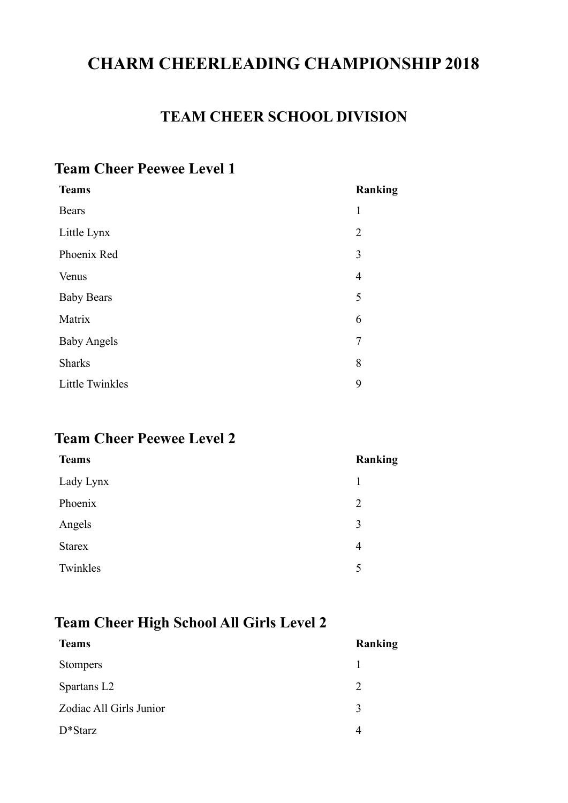# **CHARM CHEERLEADING CHAMPIONSHIP 2018**

## **TEAM CHEER SCHOOL DIVISION**

#### **Team Cheer Peewee Level 1**

| <b>Teams</b>           | <b>Ranking</b> |
|------------------------|----------------|
| <b>Bears</b>           | 1              |
| Little Lynx            | $\overline{2}$ |
| Phoenix Red            | 3              |
| Venus                  | $\overline{4}$ |
| <b>Baby Bears</b>      | 5              |
| Matrix                 | 6              |
| <b>Baby Angels</b>     | 7              |
| <b>Sharks</b>          | 8              |
| <b>Little Twinkles</b> | 9              |
|                        |                |

## **Team Cheer Peewee Level 2**

| <b>Teams</b>  | Ranking        |
|---------------|----------------|
| Lady Lynx     | 1              |
| Phoenix       | $\overline{2}$ |
| Angels        | 3              |
| <b>Starex</b> | 4              |
| Twinkles      | 5              |
|               |                |

## **Team Cheer High School All Girls Level 2**

| <b>Teams</b>            | Ranking                     |
|-------------------------|-----------------------------|
| <b>Stompers</b>         |                             |
| Spartans L <sub>2</sub> | $\mathcal{D}_{\mathcal{L}}$ |
| Zodiac All Girls Junior | $\mathbf 3$                 |
| $D*Starz$               |                             |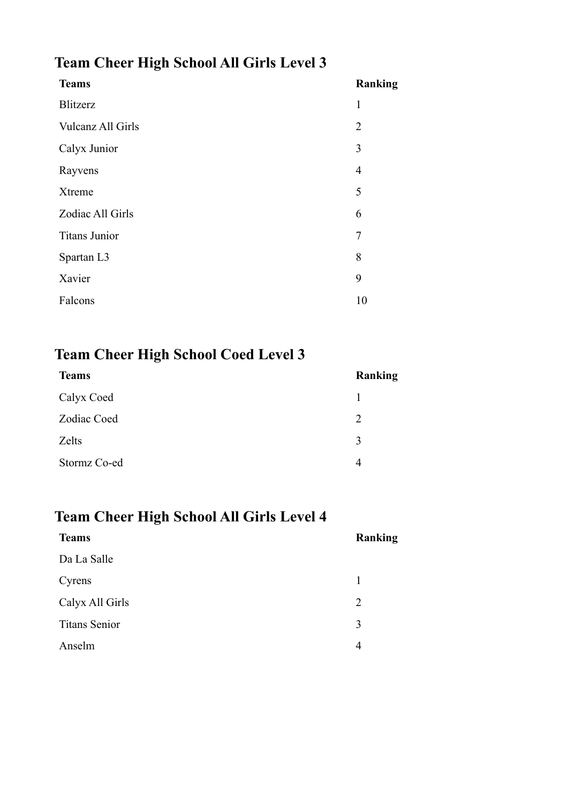# **Team Cheer High School All Girls Level 3**

| <b>Teams</b>         | Ranking        |
|----------------------|----------------|
| Blitzerz             | 1              |
| Vulcanz All Girls    | $\overline{2}$ |
| Calyx Junior         | 3              |
| Rayvens              | $\overline{4}$ |
| Xtreme               | 5              |
| Zodiac All Girls     | 6              |
| <b>Titans Junior</b> | $\overline{7}$ |
| Spartan L3           | 8              |
| Xavier               | 9              |
| Falcons              | 10             |

# **Team Cheer High School Coed Level 3**

| <b>Teams</b> | Ranking |
|--------------|---------|
| Calyx Coed   |         |
| Zodiac Coed  | 2       |
| Zelts        | 3       |
| Stormz Co-ed | 4       |

## **Team Cheer High School All Girls Level 4**

| <b>Teams</b>         | Ranking |
|----------------------|---------|
| Da La Salle          |         |
| Cyrens               | 1       |
| Calyx All Girls      | 2       |
| <b>Titans Senior</b> | 3       |
| Anselm               | 4       |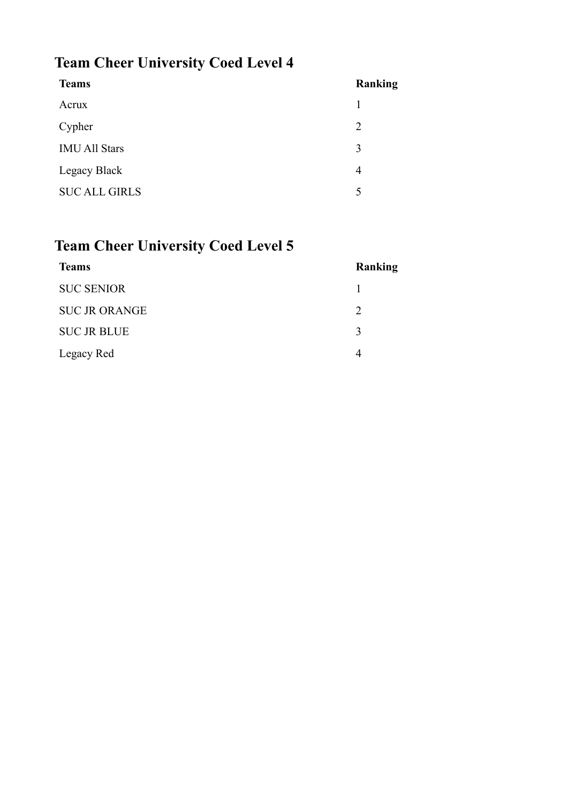# **Team Cheer University Coed Level 4**

| <b>Teams</b>         | Ranking |
|----------------------|---------|
| Acrux                | 1       |
| Cypher               | 2       |
| <b>IMU All Stars</b> | 3       |
| Legacy Black         | 4       |
| <b>SUC ALL GIRLS</b> | 5       |
|                      |         |

# **Team Cheer University Coed Level 5**

| <b>Teams</b>         | Ranking       |
|----------------------|---------------|
| <b>SUC SENIOR</b>    |               |
| <b>SUC JR ORANGE</b> | $\mathcal{D}$ |
| <b>SUC JR BLUE</b>   | $\mathbf{c}$  |
| Legacy Red           |               |